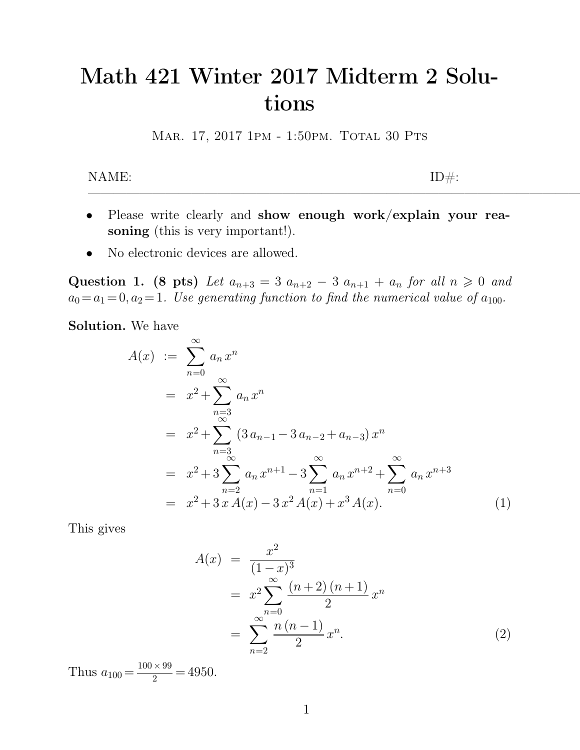## **Math 421 Winter 2017 Midterm 2 Solutions** Math 421 Winter 2017 Midterm 2 Solu-<br>tions<br>MAR. 17, 2017 1PM - 1:50PM. TOTAL 30 PTS  $\textbf{tions}$  MAR. 17, 2017 1PM - 1:50PM. TOTAL 30 PTS ID#:

- MAR. 17, 2017 1PM 1:50PM. TOTAL 30 PTS<br>
NAME:<br>
Please write clearly and **show enough work/explain your rea-**<br> **soning** (this is very important!). ME:<br> **Please write clearly and show eno soning** (this is very important!).<br>
No electronic devices are allowed. NAME:<br>
• Please write clearly and **show enou**<br> **soning** (this is very important!).<br>
• No electronic devices are allowed.<br> **•** No electronic devices are allowed.
- 

• Please write clearly and **show enough work/explain your rea-**<br>soning (this is very important!).<br>• No electronic devices are allowed.<br>Question 1. (8 pts) Let  $a_{n+3} = 3$   $a_{n+2} - 3$   $a_{n+1} + a_n$  for all  $n \ge 0$  and<br> $a_0 = a$ *<sup>a</sup>*0=*a*1= 0*; a*2= 1*. Use generating function to nd the numerical value of <sup>a</sup>*100*.* **Solution.** We have

$$
A(x) := \sum_{n=0}^{\infty} a_n x^n
$$
  
=  $x^2 + \sum_{\substack{n=3 \ n \text{ odd}}}^{\infty} a_n x^n$   
=  $x^2 + \sum_{n=3}^{\infty} (3 a_{n-1} - 3 a_{n-2} + a_{n-3}) x^n$   
=  $x^2 + 3 \sum_{n=2}^{\infty} a_n x^{n+1} - 3 \sum_{n=1}^{\infty} a_n x^{n+2} + \sum_{n=0}^{\infty} a_n x^{n+3}$   
=  $x^2 + 3 x A(x) - 3 x^2 A(x) + x^3 A(x).$  (1)

$$
A(x) = \frac{x^2}{(1-x)^3}
$$
  
=  $x^2 \sum_{n=0}^{\infty} \frac{(n+2)(n+1)}{2} x^n$   
=  $\sum_{n=2}^{\infty} \frac{n(n-1)}{2} x^n$ . (2)

Thus  $a_{100} = \frac{100 \times 99}{2} = 4950$ .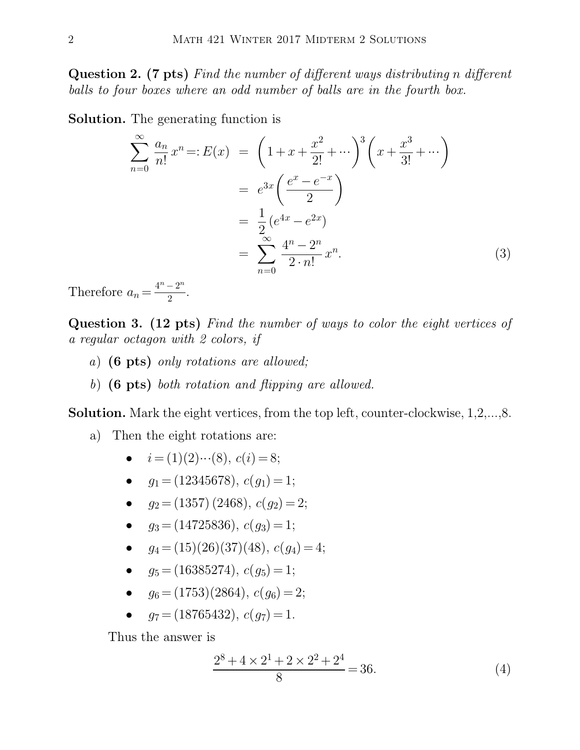**2** MATH 421 WINTER 2017 MIDTERM 2 SOLUTIONS<br> **Question 2. (7 pts)** *Find the number of different ways distributing n different*<br> *balls to four boxes where an odd number of balls are in the fourth box. balls to four boxes where an odd number of different ways distributing n differe balls to four boxes where an odd number of balls are in the fourth box.*<br> **balls to four boxes where an odd number of balls are in the fourt Solution 2.** (7 pts) Find the number of differentially to four boxes where an odd number of box<br> **Solution.** The generating function is<br>  $\sum_{n=0}^{\infty} a_n$ balls to four boxes where an odd number of balls are in the fourth box.<br>**Solution.** The generating function is

$$
\sum_{n=0}^{\infty} \frac{a_n}{n!} x^n =: E(x) = \left(1 + x + \frac{x^2}{2!} + \cdots \right)^3 \left(x + \frac{x^3}{3!} + \cdots \right)
$$

$$
= e^{3x} \left(\frac{e^x - e^{-x}}{2} \right)
$$

$$
= \frac{1}{2} (e^{4x} - e^{2x})
$$

$$
= \sum_{n=0}^{\infty} \frac{4^n - 2^n}{2 \cdot n!} x^n.
$$
(3)  
Therefore  $a_n = \frac{4^n - 2^n}{2}$ .  
Question 3. (12 pts) Find the number of ways to color the eight vertices of a regular octagon with 2 colors, if

Therefore  $a_n = \frac{4^n - 2^n}{2}$ .  $\frac{-2}{2}$ .

*a<sub>n</sub>* =  $\frac{4^n - 2^n}{2}$ .<br> **Question 3. (12 pts)** *Find the number*<br> *a regular octagon with 2 colors, if*<br> *a*) (**6 pts**) *only rotations are allowed.* Frefore  $a_n = \frac{4^n - 2^n}{2}$ .<br> **estion 3. (12 pts)** *Find the number of wa*<br> *gaular octagon with 2 colors, if*<br> *a*) (6 pts) *only rotations are allowed;*<br> *b*) (6 pts) *both rotation and flipping are a* **estion 3. (12 pts)** *Find the number of ways to color is gular octagon with 2 colors, if*<br> *a*) (**6 pts)** *only rotations are allowed;*<br> *b*) (**6 pts)** *both rotation and flipping are allowed.*<br> **ution.** Mark the eight ve *a regular octagon with 2 colors, if*<br> *a*) (6 pts) *only rotations are allowed;*<br> **Solution.** Mark the eight vertices, from the top left, counter-clockwise, 1,2,...,8.<br>
a) Then the eight rotations are:

- 
- a) (6 pts) only rotations are allowed;<br>b) (6 pts) both rotation and flipping oution. Mark the eight vertices, from the<br>a) Then the eight rotations are:<br> $\bullet$   $i = (1)(2)\cdots(8), c(i) = 8;$

**pts)** both rotation and flipping are a<br>Mark the eight vertices, from the top<br>ien the eight rotations are:<br> $i = (1)(2)\cdots(8), c(i) = 8;$ <br> $g_1 = (12345678), c(g_1) = 1;$ Mark the eight vertices, from the top left<br>
ren the eight rotations are:<br>
•  $i = (1)(2)\cdots(8), c(i) = 8;$ <br>
•  $g_1 = (12345678), c(g_1) = 1;$ <br>
•  $g_2 = (1357) (2468), c(g_2) = 2;$ 

- -
	-
- **e** i = (1)(2)…(8),  $c(i) = 8$ ;<br> **e**  $g_1 = (12345678), c(g_1) = 1$ ;<br> **e**  $g_2 = (1357)(2468), c(g_2) = 2$ ;<br> **e**  $g_3 = (14725836), c(g_3) = 1$ ;
	-
	- $i = (1)(2)\cdots(8), c(i) = 8;$ <br>
	  $g_1 = (12345678), c(g_1) = 1;$ <br>
	  $g_2 = (1357)(2468), c(g_2) = 2;$ <br>
	  $g_3 = (14725836), c(g_3) = 1;$ <br>
	  $g_4 = (15)(26)(37)(48), c(g_4) = 4;$ *g*<sub>1</sub> = (12345678), *c*(*g*<sub>1</sub>) = 1;<br> *g*<sub>2</sub> = (1357) (2468), *c*(*g*<sub>2</sub>) = 2;<br> *g*<sub>3</sub> = (14725836), *c*(*g*<sub>3</sub>) = 1;<br> *g*<sub>4</sub> = (15)(26)(37)(48), *c*(*g*<sub>4</sub>) = 4;<br> *g*<sub>5</sub> = (16385274), *c*(*g*<sub>5</sub>) = 1; •  $g_2 = (1357) (2468), c(g_2) = 2;$ <br>
	•  $g_3 = (14725836), c(g_3) = 1;$ <br>
	•  $g_4 = (15)(26)(37)(48), c(g_4) = 4;$ <br>
	•  $g_5 = (16385274), c(g_5) = 1;$ <br>
	•  $g_6 = (1753)(2864), c(g_6) = 2;$ *g*<sub>3</sub> = (14725836), *c*(*g*<sub>3</sub>) = 1;<br> *g*<sub>4</sub> = (15)(26)(37)(48), *c*(*g*<sub>4</sub>) = 4;<br> *g*<sub>5</sub> = (16385274), *c*(*g*<sub>5</sub>) = 1;<br> *g*<sub>6</sub> = (1753)(2864), *c*(*g*<sub>6</sub>) = 2;<br> *g*<sub>7</sub> = (18765432), *c*(*g*<sub>7</sub>) = 1. •  $g_4 = (15)(26)(37)(48)$ ,  $c(g_4) = 4$ ;<br>
	•  $g_5 = (16385274)$ ,  $c(g_5) = 1$ ;<br>
	•  $g_6 = (1753)(2864)$ ,  $c(g_6) = 2$ ;<br>
	•  $g_7 = (18765432)$ ,  $c(g_7) = 1$ .<br>
	Thus the answer is<br>  $2^8 + 4 \times 2^1 + 2 \times 2^2 + 2^4$ 
		-
		- $g_6 = (1753)(2864), c(g_6) = 2;$ <br>•  $q_7 = (18765432), c(q_7) = 1.$
		-

$$
(2864), c(g6) = 2;\n432), c(g7) = 1.\n
$$
\frac{2^8 + 4 \times 2^1 + 2 \times 2^2 + 2^4}{8} = 36.
$$
\n(4)
$$